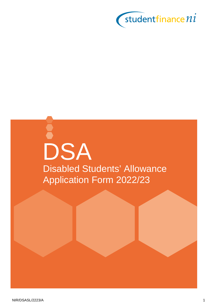

# DSA Disabled Students' Allowance Application Form 2022/23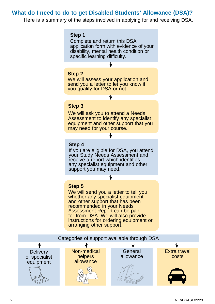### **What do I need to do to get Disabled Students' Allowance (DSA)?**

Here is a summary of the steps involved in applying for and receiving DSA.

#### **Step 1**

Complete and return this DSA application form with evidence of your disability, mental health condition or specific learning difficulty.

#### **Step 2**

We will assess your application and send you a letter to let you know if you qualify for DSA or not.

#### **Step 3**

We will ask you to attend a Needs Assessment to identify any specialist equipment and other support that you may need for your course.

#### **Step 4**

If you are eligible for DSA, you attend your Study Needs Assessment and receive a report which identifies any specialist equipment and other support you may need.

#### **Step 5**

We will send you a letter to tell you whether any specialist equipment and other support that has been recommended in your Needs Assessment Report can be paid for from DSA. We will also provide instructions for ordering equipment or arranging other support.

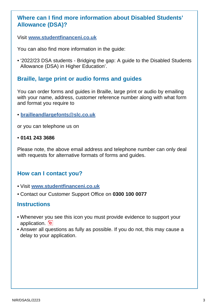### **Where can I find more information about Disabled Students' Allowance (DSA)?**

Visit **[www.studentfinanceni.co.uk](http://www.studentfinanceni.co.uk)**

You can also find more information in the guide:

• '2022/23 DSA students - Bridging the gap: A guide to the Disabled Students Allowance (DSA) in Higher Education'.

### **Braille, large print or audio forms and guides**

You can order forms and guides in Braille, large print or audio by emailing with your name, address, customer reference number along with what form and format you require to

• **[brailleandlargefonts@slc.co.uk](mailto:brailleandlargefonts%40slc.co.uk?subject=Braille%2C%20large%20print%20or%20audio%20form%20request)**

or you can telephone us on

• **0141 243 3686**

Please note, the above email address and telephone number can only deal with requests for alternative formats of forms and guides.

### **How can I contact you?**

- Visit **[www.studentfinanceni.co.uk](mailto:www.studentfinanceni.co.uk?subject=)**
- Contact our Customer Support Office on **0300 100 0077**

### **Instructions**

- Whenever you see this icon you must provide evidence to support your application. **fel**
- Answer all questions as fully as possible. If you do not, this may cause a delay to your application.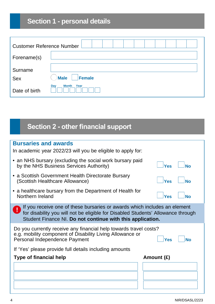## **Section 1 - personal details**

| <b>Customer Reference Number</b> |                              |
|----------------------------------|------------------------------|
| Forename(s)                      |                              |
| Surname<br><b>Sex</b>            | <b>Male</b><br><b>Female</b> |
| Date of birth                    | Year<br><b>Month</b><br>Day  |

## **Section 2 - other financial support**

| <b>Bursaries and awards</b>                                                                                                                                                                                                 |                         |  |  |  |  |  |
|-----------------------------------------------------------------------------------------------------------------------------------------------------------------------------------------------------------------------------|-------------------------|--|--|--|--|--|
| In academic year 2022/23 will you be eligible to apply for:                                                                                                                                                                 |                         |  |  |  |  |  |
| • an NHS bursary (excluding the social work bursary paid<br>by the NHS Business Services Authority)                                                                                                                         | <b>Yes</b><br><b>No</b> |  |  |  |  |  |
| • a Scottish Government Health Directorate Bursary<br>(Scottish Healthcare Allowance)                                                                                                                                       | Yes<br><b>No</b>        |  |  |  |  |  |
| • a healthcare bursary from the Department of Health for<br>Northern Ireland                                                                                                                                                | <b>Yes</b><br><b>No</b> |  |  |  |  |  |
| If you receive one of these bursaries or awards which includes an element<br>for disability you will not be eligible for Disabled Students' Allowance through<br>Student Finance NI. Do not continue with this application. |                         |  |  |  |  |  |
| Do you currently receive any financial help towards travel costs?<br>e.g. mobility component of Disability Living Allowance or<br>Personal Independence Payment                                                             | <b>Yes</b><br><b>No</b> |  |  |  |  |  |
| If 'Yes' please provide full details including amounts                                                                                                                                                                      |                         |  |  |  |  |  |
| <b>Type of financial help</b>                                                                                                                                                                                               | Amount (£)              |  |  |  |  |  |
|                                                                                                                                                                                                                             |                         |  |  |  |  |  |
|                                                                                                                                                                                                                             |                         |  |  |  |  |  |
|                                                                                                                                                                                                                             |                         |  |  |  |  |  |
|                                                                                                                                                                                                                             |                         |  |  |  |  |  |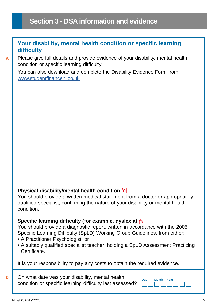### **Section 3 - DSA information and evidence**

### **Your disability, mental health condition or specific learning difficulty**

Please give full details and provide evidence of your disability, mental health condition or specific learning difficulty.

You can also download and complete the Disability Evidence Form from [www.studentfinanceni.co.uk](mailto:www.studentfinanceni.co.uk?subject=)

### **Physical disability/mental health condition**

You should provide a written medical statement from a doctor or appropriately qualified specialist, confirming the nature of your disability or mental health condition.

### **Specific learning difficulty (for example, dyslexia)**

You should provide a diagnostic report, written in accordance with the 2005 Specific Learning Difficulty (SpLD) Working Group Guidelines, from either:

- A Practitioner Psychologist; or
- A suitably qualified specialist teacher, holding a SpLD Assessment Practicing **Certificate**

It is your responsibility to pay any costs to obtain the required evidence.

**b** On what date was your disability, mental health **Day** Month Year condition or specific learning difficulty last assessed?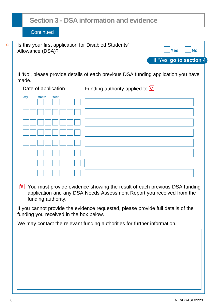### **Section 3 - DSA information and evidence**

**Continued** 

| Is this your first application for Disabled Students'<br>Allowance (DSA)? | <b>Yes</b><br><b>No</b>                                                           |
|---------------------------------------------------------------------------|-----------------------------------------------------------------------------------|
|                                                                           | if 'Yes' go to section 4                                                          |
| made.                                                                     | If 'No', please provide details of each previous DSA funding application you have |
| Date of application                                                       | Funding authority applied to <b>e</b>                                             |
| <b>Month</b><br>Year<br>Day                                               |                                                                                   |
|                                                                           |                                                                                   |
|                                                                           |                                                                                   |
|                                                                           |                                                                                   |
|                                                                           |                                                                                   |
|                                                                           |                                                                                   |
|                                                                           |                                                                                   |
|                                                                           |                                                                                   |

You must provide evidence showing the result of each previous DSA funding application and any DSA Needs Assessment Report you received from the funding authority.

If you cannot provide the evidence requested, please provide full details of the funding you received in the box below.

We may contact the relevant funding authorities for further information.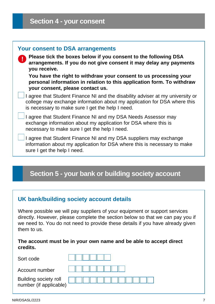| <b>Your consent to DSA arrangements</b><br>Please tick the boxes below if you consent to the following DSA<br>arrangements. If you do not give consent it may delay any payments<br>you receive.<br>You have the right to withdraw your consent to us processing your<br>personal information in relation to this application form. To withdraw<br>your consent, please contact us. |
|-------------------------------------------------------------------------------------------------------------------------------------------------------------------------------------------------------------------------------------------------------------------------------------------------------------------------------------------------------------------------------------|
| I agree that Student Finance NI and the disability adviser at my university or<br>college may exchange information about my application for DSA where this<br>is necessary to make sure I get the help I need.                                                                                                                                                                      |
| I agree that Student Finance NI and my DSA Needs Assessor may<br>exchange information about my application for DSA where this is<br>necessary to make sure I get the help I need.                                                                                                                                                                                                   |
| I agree that Student Finance NI and my DSA suppliers may exchange<br>information about my application for DSA where this is necessary to make<br>sure I get the help I need.                                                                                                                                                                                                        |
|                                                                                                                                                                                                                                                                                                                                                                                     |

### **Section 5 - your bank or building society account**

### **UK bank/building society account details**

Where possible we will pay suppliers of your equipment or support services directly. However, please complete the section below so that we can pay you if we need to. You do not need to provide these details if you have already given them to us.

#### **The account must be in your own name and be able to accept direct credits.**

| Sort code                                       |  |  |  |  |  |  |
|-------------------------------------------------|--|--|--|--|--|--|
| Account number                                  |  |  |  |  |  |  |
| Building society roll<br>number (if applicable) |  |  |  |  |  |  |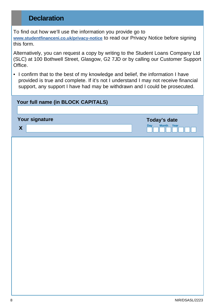### **Declaration**

To find out how we'll use the information you provide go to **[www.studentfinanceni.co.uk/privacy-notice](mailto:www.studentfinanceni.co.uk/privacy-notice?subject=)** to read our Privacy Notice before signing this form.

Alternatively, you can request a copy by writing to the Student Loans Company Ltd (SLC) at 100 Bothwell Street, Glasgow, G2 7JD or by calling our Customer Support Office.

• I confirm that to the best of my knowledge and belief, the information I have provided is true and complete. If it's not I understand I may not receive financial support, any support I have had may be withdrawn and I could be prosecuted.

| Your full name (in BLOCK CAPITALS) |                             |
|------------------------------------|-----------------------------|
| Your signature                     | Today's date                |
| X                                  | <b>Month</b><br>Year<br>Day |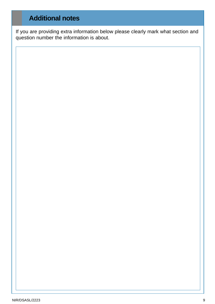### **Additional notes**

If you are providing extra information below please clearly mark what section and question number the information is about.